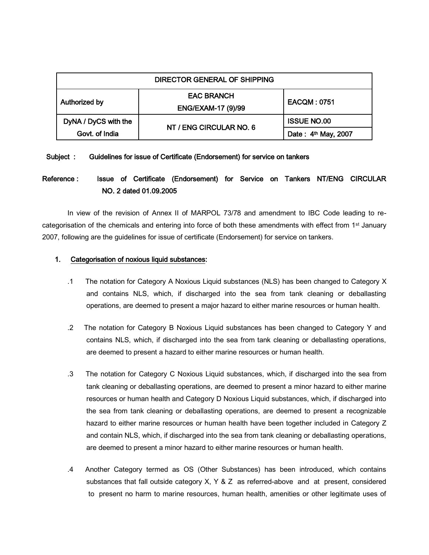| DIRECTOR GENERAL OF SHIPPING |                         |                     |
|------------------------------|-------------------------|---------------------|
| Authorized by                | <b>EAC BRANCH</b>       | <b>EACQM: 0751</b>  |
|                              | ENG/EXAM-17 (9)/99      |                     |
| DyNA / DyCS with the         | NT / ENG CIRCULAR NO. 6 | <b>ISSUE NO.00</b>  |
| Govt. of India               |                         | Date: 4th May, 2007 |

#### Subject : Guidelines for issue of Certificate (Endorsement) for service on tankers

# Reference : Issue of Certificate (Endorsement) for Service on Tankers NT/ENG CIRCULAR NO. 2 dated 01.09.2005

In view of the revision of Annex II of MARPOL 73/78 and amendment to IBC Code leading to recategorisation of the chemicals and entering into force of both these amendments with effect from 1st January 2007, following are the guidelines for issue of certificate (Endorsement) for service on tankers.

### 1. Categorisation of noxious liquid substances:

- .1 The notation for Category A Noxious Liquid substances (NLS) has been changed to Category X and contains NLS, which, if discharged into the sea from tank cleaning or deballasting operations, are deemed to present a major hazard to either marine resources or human health.
- .2 The notation for Category B Noxious Liquid substances has been changed to Category Y and contains NLS, which, if discharged into the sea from tank cleaning or deballasting operations, are deemed to present a hazard to either marine resources or human health.
- .3 The notation for Category C Noxious Liquid substances, which, if discharged into the sea from tank cleaning or deballasting operations, are deemed to present a minor hazard to either marine resources or human health and Category D Noxious Liquid substances, which, if discharged into the sea from tank cleaning or deballasting operations, are deemed to present a recognizable hazard to either marine resources or human health have been together included in Category Z and contain NLS, which, if discharged into the sea from tank cleaning or deballasting operations, are deemed to present a minor hazard to either marine resources or human health.
- .4 Another Category termed as OS (Other Substances) has been introduced, which contains substances that fall outside category  $X, Y \& Z$  as referred-above and at present, considered to present no harm to marine resources, human health, amenities or other legitimate uses of